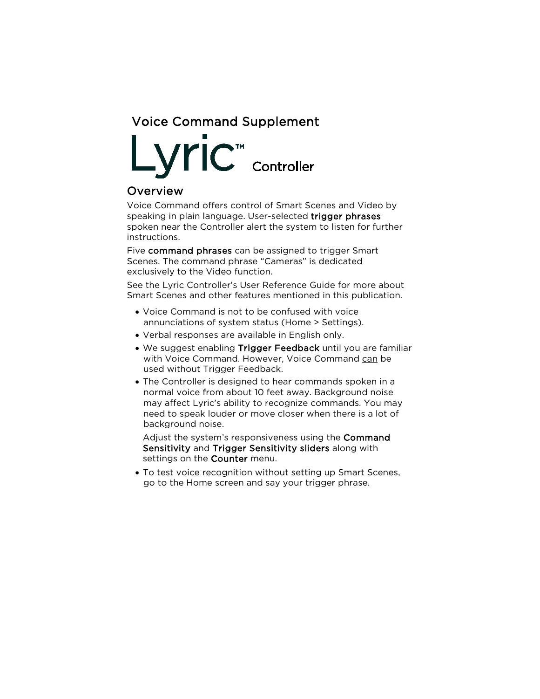

### Overview

Voice Command offers control of Smart Scenes and Video by speaking in plain language. User-selected trigger phrases spoken near the Controller alert the system to listen for further instructions.

Five command phrases can be assigned to trigger Smart Scenes. The command phrase "Cameras" is dedicated exclusively to the Video function.

See the Lyric Controller's User Reference Guide for more about Smart Scenes and other features mentioned in this publication.

- Voice Command is not to be confused with voice annunciations of system status (Home > Settings).
- Verbal responses are available in English only.
- We suggest enabling Trigger Feedback until you are familiar with Voice Command. However, Voice Command can be used without Trigger Feedback.
- The Controller is designed to hear commands spoken in a normal voice from about 10 feet away. Background noise may affect Lyric's ability to recognize commands. You may need to speak louder or move closer when there is a lot of background noise.

Adjust the system's responsiveness using the Command Sensitivity and Trigger Sensitivity sliders along with settings on the **Counter** menu.

• To test voice recognition without setting up Smart Scenes, go to the Home screen and say your trigger phrase.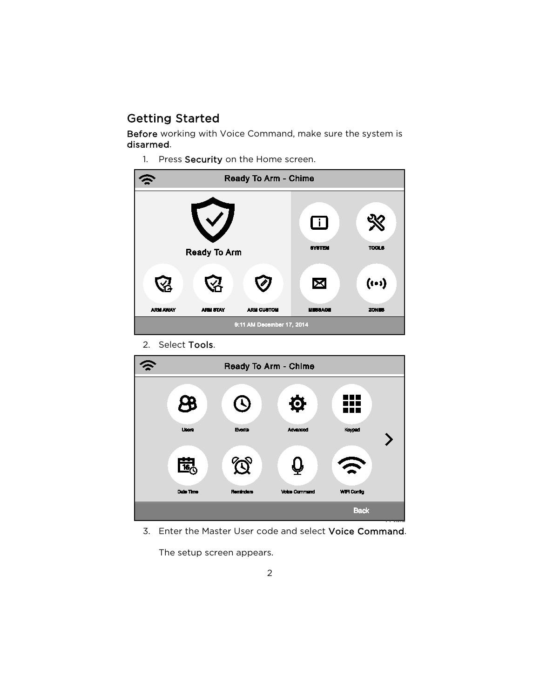# Getting Started

Before working with Voice Command, make sure the system is disarmed.

1. Press Security on the Home screen.

| Ready To Arm - Chime      |                 |                   |                               |                               |
|---------------------------|-----------------|-------------------|-------------------------------|-------------------------------|
| <b>Ready To Arm</b>       |                 |                   | $\Box$<br><b>SYSTEM</b>       | <b>TOOLS</b>                  |
| <b>ARM AWAY</b>           | <b>ARM STAY</b> | <b>ARM CUSTOM</b> | $\boxtimes$<br><b>MESSAGE</b> | $(i \cdot i)$<br><b>ZONES</b> |
| 9:11 AM December 17, 2014 |                 |                   |                               |                               |

2. Select Tools.



3. Enter the Master User code and select Voice Command.

The setup screen appears.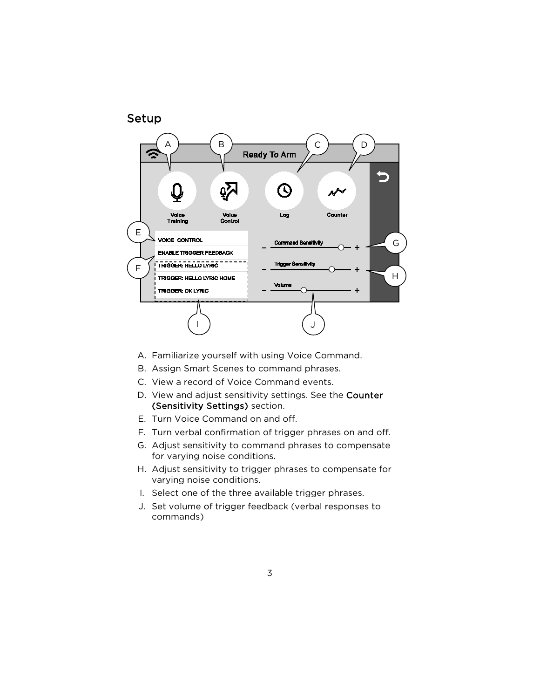

- A. Familiarize yourself with using Voice Command.
- B. Assign Smart Scenes to command phrases.
- C. View a record of Voice Command events.
- D. View and adjust sensitivity settings. See the Counter (Sensitivity Settings) section.
- E. Turn Voice Command on and off.
- F. Turn verbal confirmation of trigger phrases on and off.
- G. Adjust sensitivity to command phrases to compensate for varying noise conditions.
- H. Adjust sensitivity to trigger phrases to compensate for varying noise conditions.
- I. Select one of the three available trigger phrases.
- J. Set volume of trigger feedback (verbal responses to commands)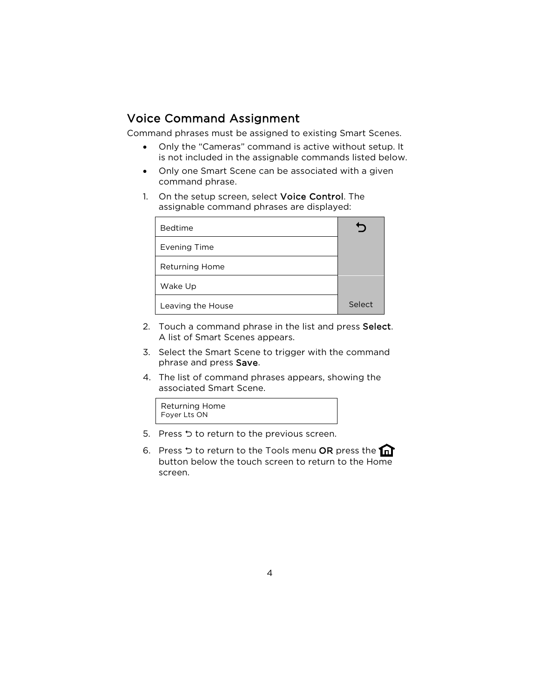# Voice Command Assignment

Command phrases must be assigned to existing Smart Scenes.

- Only the "Cameras" command is active without setup. It is not included in the assignable commands listed below.
- Only one Smart Scene can be associated with a given command phrase.
- 1. On the setup screen, select Voice Control. The assignable command phrases are displayed:

| <b>Bedtime</b>        |        |
|-----------------------|--------|
| <b>Evening Time</b>   |        |
| <b>Returning Home</b> |        |
| Wake Up               |        |
| Leaving the House     | Select |

- 2. Touch a command phrase in the list and press Select. A list of Smart Scenes appears.
- 3. Select the Smart Scene to trigger with the command phrase and press Save.
- 4. The list of command phrases appears, showing the associated Smart Scene.



- 5. Press ל to return to the previous screen.
- 6. Press  $\circ$  to return to the Tools menu OR press the  $\cap$ button below the touch screen to return to the Home screen.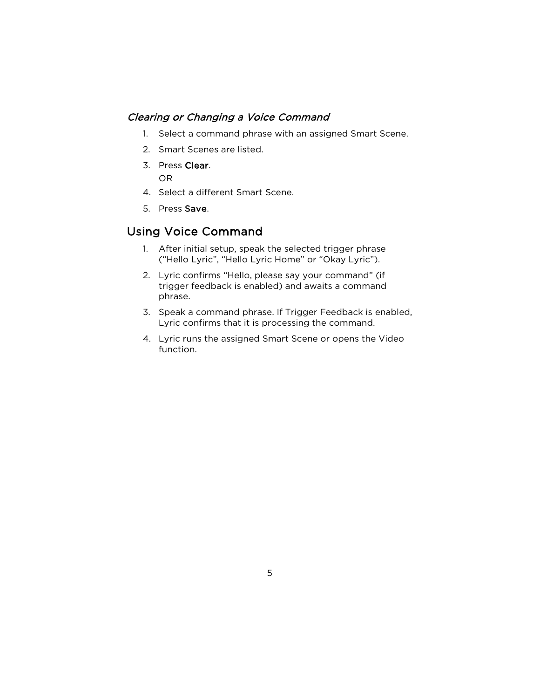#### Clearing or Changing a Voice Command

- 1. Select a command phrase with an assigned Smart Scene.
- 2. Smart Scenes are listed.
- 3. Press Clear. OR
- 4. Select a different Smart Scene.
- 5. Press Save.

## Using Voice Command

- 1. After initial setup, speak the selected trigger phrase ("Hello Lyric", "Hello Lyric Home" or "Okay Lyric").
- 2. Lyric confirms "Hello, please say your command" (if trigger feedback is enabled) and awaits a command phrase.
- 3. Speak a command phrase. If Trigger Feedback is enabled, Lyric confirms that it is processing the command.
- 4. Lyric runs the assigned Smart Scene or opens the Video function.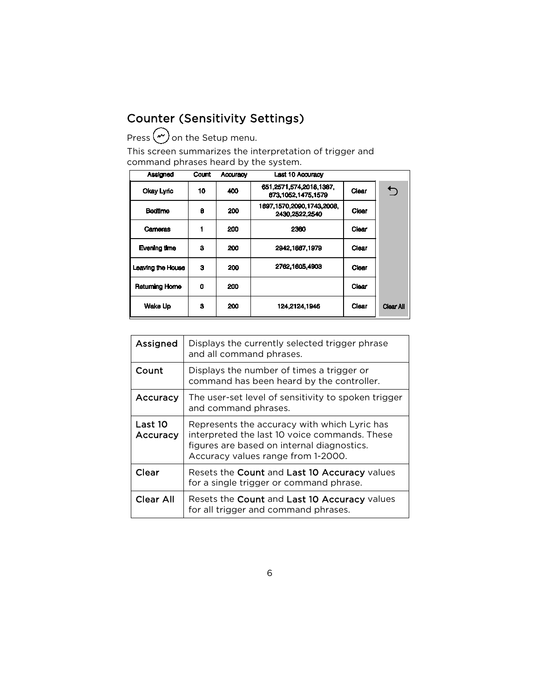# Counter (Sensitivity Settings)

Press  $\curvearrowright$  on the Setup menu.

This screen summarizes the interpretation of trigger and command phrases heard by the system.

| Assigned              | Count | <b>Accuracy</b> | <b>Last 10 Accuracy</b>                         |       |                  |
|-----------------------|-------|-----------------|-------------------------------------------------|-------|------------------|
| Okay Lyric            | 10    | 400             | 651,2571,574,2018,1387,<br>873.1052.1475.1579   | Clear |                  |
| <b>Bedtime</b>        | 8     | 200             | 1897, 1570, 2090, 1743, 2008,<br>2430.2522.2540 | Clear |                  |
| Cameras               |       | 200             | 2360                                            | Clear |                  |
| Evening time          | з     | 200             | 2942,1887,1979                                  | Clear |                  |
| Leaving the House     | з     | 200             | 2762.1605.4903                                  | Clear |                  |
| <b>Returning Home</b> | 0     | 200             |                                                 | Clear |                  |
| Wake Up               | 3     | 200             | 124.2124.1946                                   | Clear | <b>Clear All</b> |

| Assigned            | Displays the currently selected trigger phrase<br>and all command phrases.                                                                                                        |
|---------------------|-----------------------------------------------------------------------------------------------------------------------------------------------------------------------------------|
| Count               | Displays the number of times a trigger or<br>command has been heard by the controller.                                                                                            |
| Accuracy            | The user-set level of sensitivity to spoken trigger<br>and command phrases.                                                                                                       |
| Last 10<br>Accuracy | Represents the accuracy with which Lyric has<br>interpreted the last 10 voice commands. These<br>figures are based on internal diagnostics.<br>Accuracy values range from 1-2000. |
| Clear               | Resets the Count and Last 10 Accuracy values<br>for a single trigger or command phrase.                                                                                           |
| <b>Clear All</b>    | Resets the Count and Last 10 Accuracy values<br>for all trigger and command phrases.                                                                                              |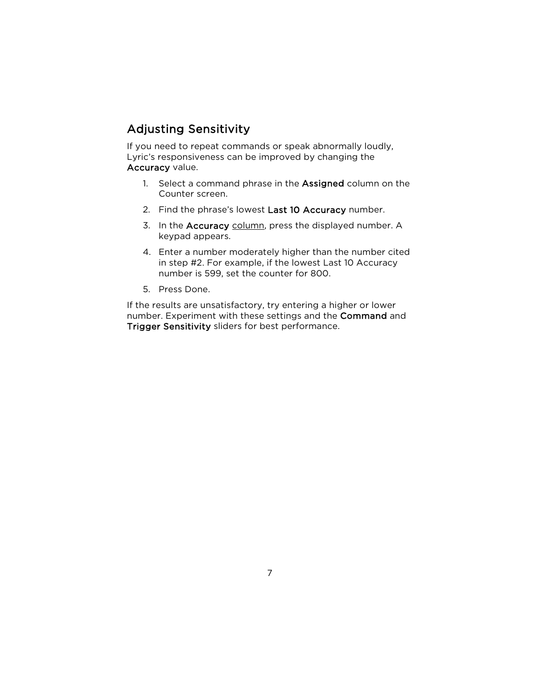# Adjusting Sensitivity

If you need to repeat commands or speak abnormally loudly, Lyric's responsiveness can be improved by changing the Accuracy value.

- 1. Select a command phrase in the Assigned column on the Counter screen.
- 2. Find the phrase's lowest Last 10 Accuracy number.
- 3. In the Accuracy column, press the displayed number. A keypad appears.
- 4. Enter a number moderately higher than the number cited in step #2. For example, if the lowest Last 10 Accuracy number is 599, set the counter for 800.
- 5. Press Done.

If the results are unsatisfactory, try entering a higher or lower number. Experiment with these settings and the Command and Trigger Sensitivity sliders for best performance.